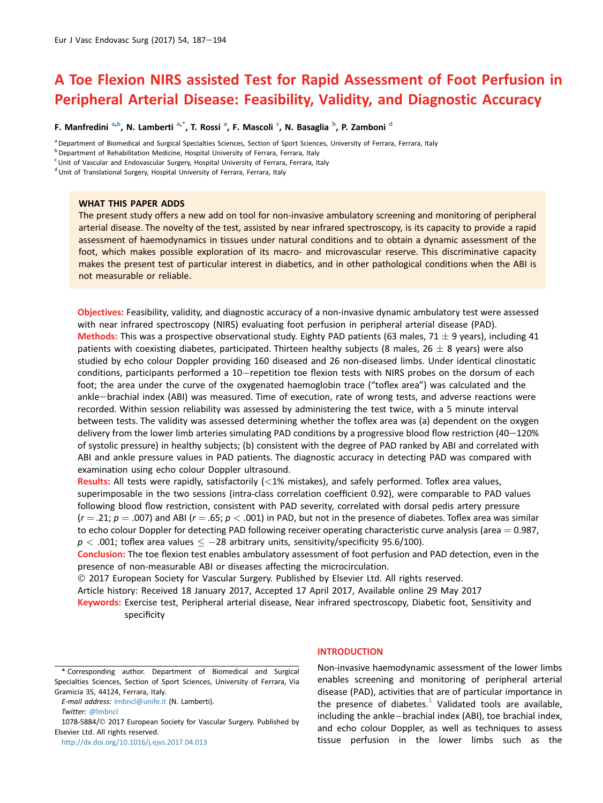# A Toe Flexion NIRS assisted Test for Rapid Assessment of Foot Perfusion in Peripheral Arterial Disease: Feasibility, Validity, and Diagnostic Accuracy

F. Manfredini <sup>a,b</sup>, N. Lamberti <sup>a,\*</sup>, T. Rossi <sup>a</sup>, F. Mascoli <sup>c</sup>, N. Basaglia <sup>b</sup>, P. Zamboni <sup>d</sup>

<sup>a</sup> Department of Biomedical and Surgical Specialties Sciences, Section of Sport Sciences, University of Ferrara, Ferrara, Italy

<sup>c</sup> Unit of Vascular and Endovascular Surgery, Hospital University of Ferrara, Ferrara, Italy

<sup>d</sup> Unit of Translational Surgery, Hospital University of Ferrara, Ferrara, Italy

# WHAT THIS PAPER ADDS

The present study offers a new add on tool for non-invasive ambulatory screening and monitoring of peripheral arterial disease. The novelty of the test, assisted by near infrared spectroscopy, is its capacity to provide a rapid assessment of haemodynamics in tissues under natural conditions and to obtain a dynamic assessment of the foot, which makes possible exploration of its macro- and microvascular reserve. This discriminative capacity makes the present test of particular interest in diabetics, and in other pathological conditions when the ABI is not measurable or reliable.

Objectives: Feasibility, validity, and diagnostic accuracy of a non-invasive dynamic ambulatory test were assessed with near infrared spectroscopy (NIRS) evaluating foot perfusion in peripheral arterial disease (PAD). Methods: This was a prospective observational study. Eighty PAD patients (63 males, 71  $\pm$  9 years), including 41 patients with coexisting diabetes, participated. Thirteen healthy subjects (8 males,  $26 \pm 8$  years) were also studied by echo colour Doppler providing 160 diseased and 26 non-diseased limbs. Under identical clinostatic conditions, participants performed a 10–repetition toe flexion tests with NIRS probes on the dorsum of each foot; the area under the curve of the oxygenated haemoglobin trace ("toflex area") was calculated and the ankle-brachial index (ABI) was measured. Time of execution, rate of wrong tests, and adverse reactions were recorded. Within session reliability was assessed by administering the test twice, with a 5 minute interval between tests. The validity was assessed determining whether the toflex area was (a) dependent on the oxygen delivery from the lower limb arteries simulating PAD conditions by a progressive blood flow restriction (40 $-120\%$ of systolic pressure) in healthy subjects; (b) consistent with the degree of PAD ranked by ABI and correlated with ABI and ankle pressure values in PAD patients. The diagnostic accuracy in detecting PAD was compared with examination using echo colour Doppler ultrasound.

Results: All tests were rapidly, satisfactorily  $\left($  < 1% mistakes), and safely performed. Toflex area values, superimposable in the two sessions (intra-class correlation coefficient 0.92), were comparable to PAD values following blood flow restriction, consistent with PAD severity, correlated with dorsal pedis artery pressure  $(r = .21; p = .007)$  and ABI  $(r = .65; p < .001)$  in PAD, but not in the presence of diabetes. Toflex area was similar to echo colour Doppler for detecting PAD following receiver operating characteristic curve analysis (area  $= 0.987$ ,  $p < .001$ ; toflex area values  $\le -28$  arbitrary units, sensitivity/specificity 95.6/100).

Conclusion: The toe flexion test enables ambulatory assessment of foot perfusion and PAD detection, even in the presence of non-measurable ABI or diseases affecting the microcirculation.

2017 European Society for Vascular Surgery. Published by Elsevier Ltd. All rights reserved.

Article history: Received 18 January 2017, Accepted 17 April 2017, Available online 29 May 2017

Keywords: Exercise test, Peripheral arterial disease, Near infrared spectroscopy, Diabetic foot, Sensitivity and specificity

<http://dx.doi.org/10.1016/j.ejvs.2017.04.013>

#### INTRODUCTION

Non-invasive haemodynamic assessment of the lower limbs enables screening and monitoring of peripheral arterial disease (PAD), activities that are of particular importance in the presence of diabetes.<sup>[1](#page-6-0)</sup> Validated tools are available, including the ankle-brachial index (ABI), toe brachial index, and echo colour Doppler, as well as techniques to assess tissue perfusion in the lower limbs such as the

**b** Department of Rehabilitation Medicine, Hospital University of Ferrara, Ferrara, Italy

<sup>\*</sup> Corresponding author. Department of Biomedical and Surgical Specialties Sciences, Section of Sport Sciences, University of Ferrara, Via Gramicia 35, 44124, Ferrara, Italy.

E-mail address: [lmbncl@unife.it](mailto:lmbncl@unife.it) (N. Lamberti).

Twitter: [@lmbncl](http://twitter.com/@lmbncl)

<sup>1078-5884/© 2017</sup> European Society for Vascular Surgery. Published by Elsevier Ltd. All rights reserved.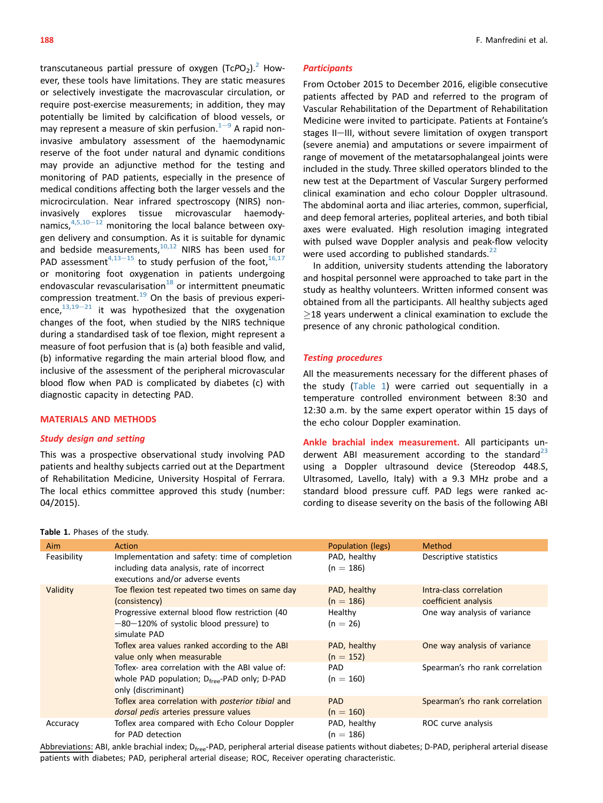<span id="page-1-0"></span>transcutaneous partial pressure of oxygen  $(TcPO<sub>2</sub>)$  $(TcPO<sub>2</sub>)$  $(TcPO<sub>2</sub>)$ .<sup>2</sup> However, these tools have limitations. They are static measures or selectively investigate the macrovascular circulation, or require post-exercise measurements; in addition, they may potentially be limited by calcification of blood vessels, or may represent a measure of skin perfusion. $1-9$  $1-9$  $1-9$  A rapid noninvasive ambulatory assessment of the haemodynamic reserve of the foot under natural and dynamic conditions may provide an adjunctive method for the testing and monitoring of PAD patients, especially in the presence of medical conditions affecting both the larger vessels and the microcirculation. Near infrared spectroscopy (NIRS) noninvasively explores tissue microvascular haemodynamics, $4,5,10-12$  $4,5,10-12$  $4,5,10-12$  monitoring the local balance between oxygen delivery and consumption. As it is suitable for dynamic and bedside measurements, $10,12$  NIRS has been used for PAD assessment<sup>[4,13](#page-6-0)–[15](#page-6-0)</sup> to study perfusion of the foot,  $16,17$ or monitoring foot oxygenation in patients undergoing endovascular revascularisation $18$  or intermittent pneumatic compression treatment.<sup>[19](#page-7-0)</sup> On the basis of previous experience, $13,19-21$  $13,19-21$  $13,19-21$  it was hypothesized that the oxygenation changes of the foot, when studied by the NIRS technique during a standardised task of toe flexion, might represent a measure of foot perfusion that is (a) both feasible and valid, (b) informative regarding the main arterial blood flow, and inclusive of the assessment of the peripheral microvascular blood flow when PAD is complicated by diabetes (c) with diagnostic capacity in detecting PAD.

# MATERIALS AND METHODS

# Study design and setting

This was a prospective observational study involving PAD patients and healthy subjects carried out at the Department of Rehabilitation Medicine, University Hospital of Ferrara. The local ethics committee approved this study (number: 04/2015).

**Participants** 

(severe anemia) and amputations or severe impairment of range of movement of the metatarsophalangeal joints were included in the study. Three skilled operators blinded to the new test at the Department of Vascular Surgery performed clinical examination and echo colour Doppler ultrasound. The abdominal aorta and iliac arteries, common, superficial, and deep femoral arteries, popliteal arteries, and both tibial axes were evaluated. High resolution imaging integrated with pulsed wave Doppler analysis and peak-flow velocity were used according to published standards.  $22$ 

From October 2015 to December 2016, eligible consecutive patients affected by PAD and referred to the program of Vascular Rehabilitation of the Department of Rehabilitation Medicine were invited to participate. Patients at Fontaine's stages II-III, without severe limitation of oxygen transport

In addition, university students attending the laboratory and hospital personnel were approached to take part in the study as healthy volunteers. Written informed consent was obtained from all the participants. All healthy subjects aged  $>$ 18 years underwent a clinical examination to exclude the presence of any chronic pathological condition.

# Testing procedures

All the measurements necessary for the different phases of the study (Table 1) were carried out sequentially in a temperature controlled environment between 8:30 and 12:30 a.m. by the same expert operator within 15 days of the echo colour Doppler examination.

Ankle brachial index measurement. All participants underwent ABI measurement according to the standard $^{23}$  $^{23}$  $^{23}$ using a Doppler ultrasound device (Stereodop 448.S, Ultrasomed, Lavello, Italy) with a 9.3 MHz probe and a standard blood pressure cuff. PAD legs were ranked according to disease severity on the basis of the following ABI

| $\frac{1}{2}$ and $\frac{1}{2}$ . First state study. |                                                                                                                                    |                             |                                                 |  |  |
|------------------------------------------------------|------------------------------------------------------------------------------------------------------------------------------------|-----------------------------|-------------------------------------------------|--|--|
| Aim                                                  | Action                                                                                                                             | Population (legs)           | <b>Method</b>                                   |  |  |
| Feasibility                                          | Implementation and safety: time of completion<br>including data analysis, rate of incorrect<br>executions and/or adverse events    | PAD, healthy<br>$(n = 186)$ | Descriptive statistics                          |  |  |
| Validity                                             | Toe flexion test repeated two times on same day<br>(consistency)                                                                   | PAD, healthy<br>$(n = 186)$ | Intra-class correlation<br>coefficient analysis |  |  |
|                                                      | Progressive external blood flow restriction (40<br>$-80-120\%$ of systolic blood pressure) to<br>simulate PAD                      | Healthy<br>$(n = 26)$       | One way analysis of variance                    |  |  |
|                                                      | Toflex area values ranked according to the ABI<br>value only when measurable                                                       | PAD, healthy<br>$(n = 152)$ | One way analysis of variance                    |  |  |
|                                                      | Toflex- area correlation with the ABI value of:<br>whole PAD population; $D_{\text{free}}$ -PAD only; D-PAD<br>only (discriminant) | <b>PAD</b><br>$(n = 160)$   | Spearman's rho rank correlation                 |  |  |
|                                                      | Toflex area correlation with <i>posterior tibial</i> and<br>dorsal pedis arteries pressure values                                  | <b>PAD</b><br>$(n = 160)$   | Spearman's rho rank correlation                 |  |  |
| Accuracy                                             | Toflex area compared with Echo Colour Doppler<br>for PAD detection                                                                 | PAD, healthy<br>$(n = 186)$ | ROC curve analysis                              |  |  |

Abbreviations: ABI, ankle brachial index; D<sub>free</sub>-PAD, peripheral arterial disease patients without diabetes; D-PAD, peripheral arterial disease patients with diabetes; PAD, peripheral arterial disease; ROC, Receiver operating characteristic.

# Table 1. Phases of the study.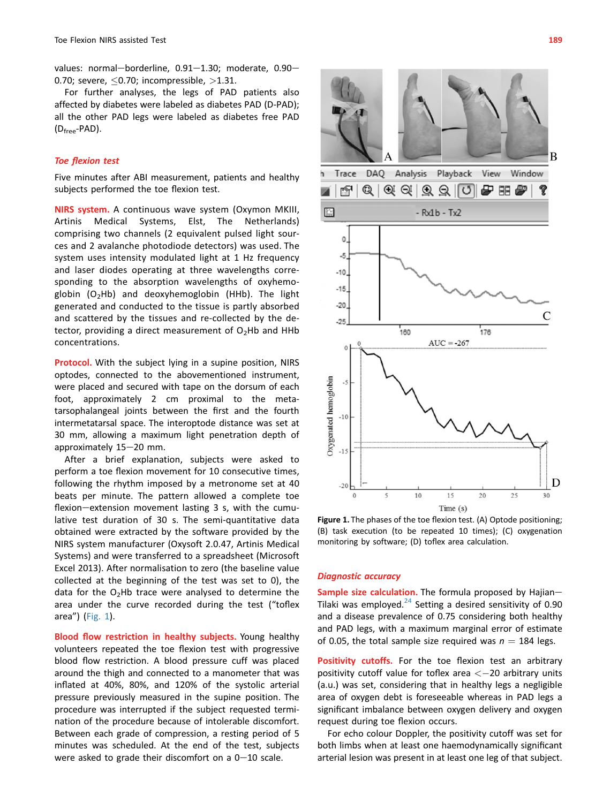values: normal-borderline,  $0.91-1.30$ ; moderate,  $0.90-$ 0.70; severe,  $\leq$  0.70; incompressible,  $>$ 1.31.

For further analyses, the legs of PAD patients also affected by diabetes were labeled as diabetes PAD (D-PAD); all the other PAD legs were labeled as diabetes free PAD (Dfree-PAD).

### Toe flexion test

Five minutes after ABI measurement, patients and healthy subjects performed the toe flexion test.

NIRS system. A continuous wave system (Oxymon MKIII, Artinis Medical Systems, Elst, The Netherlands) comprising two channels (2 equivalent pulsed light sources and 2 avalanche photodiode detectors) was used. The system uses intensity modulated light at 1 Hz frequency and laser diodes operating at three wavelengths corresponding to the absorption wavelengths of oxyhemoglobin  $(O<sub>2</sub>Hb)$  and deoxyhemoglobin (HHb). The light generated and conducted to the tissue is partly absorbed and scattered by the tissues and re-collected by the detector, providing a direct measurement of  $O_2$ Hb and HHb concentrations.

Protocol. With the subject lying in a supine position, NIRS optodes, connected to the abovementioned instrument, were placed and secured with tape on the dorsum of each foot, approximately 2 cm proximal to the metatarsophalangeal joints between the first and the fourth intermetatarsal space. The interoptode distance was set at 30 mm, allowing a maximum light penetration depth of approximately  $15-20$  mm.

After a brief explanation, subjects were asked to perform a toe flexion movement for 10 consecutive times, following the rhythm imposed by a metronome set at 40 beats per minute. The pattern allowed a complete toe flexion-extension movement lasting  $3$  s, with the cumulative test duration of 30 s. The semi-quantitative data obtained were extracted by the software provided by the NIRS system manufacturer (Oxysoft 2.0.47, Artinis Medical Systems) and were transferred to a spreadsheet (Microsoft Excel 2013). After normalisation to zero (the baseline value collected at the beginning of the test was set to 0), the data for the  $O_2$ Hb trace were analysed to determine the area under the curve recorded during the test ("toflex area") (Fig. 1).

Blood flow restriction in healthy subjects. Young healthy volunteers repeated the toe flexion test with progressive blood flow restriction. A blood pressure cuff was placed around the thigh and connected to a manometer that was inflated at 40%, 80%, and 120% of the systolic arterial pressure previously measured in the supine position. The procedure was interrupted if the subject requested termination of the procedure because of intolerable discomfort. Between each grade of compression, a resting period of 5 minutes was scheduled. At the end of the test, subjects were asked to grade their discomfort on a  $0-10$  scale.



Figure 1. The phases of the toe flexion test. (A) Optode positioning; (B) task execution (to be repeated 10 times); (C) oxygenation monitoring by software; (D) toflex area calculation.

#### Diagnostic accuracy

Sample size calculation. The formula proposed by Hajian-Tilaki was employed. $^{24}$  $^{24}$  $^{24}$  Setting a desired sensitivity of 0.90 and a disease prevalence of 0.75 considering both healthy and PAD legs, with a maximum marginal error of estimate of 0.05, the total sample size required was  $n = 184$  legs.

Positivity cutoffs. For the toe flexion test an arbitrary positivity cutoff value for toflex area  $<-20$  arbitrary units (a.u.) was set, considering that in healthy legs a negligible area of oxygen debt is foreseeable whereas in PAD legs a significant imbalance between oxygen delivery and oxygen request during toe flexion occurs.

For echo colour Doppler, the positivity cutoff was set for both limbs when at least one haemodynamically significant arterial lesion was present in at least one leg of that subject.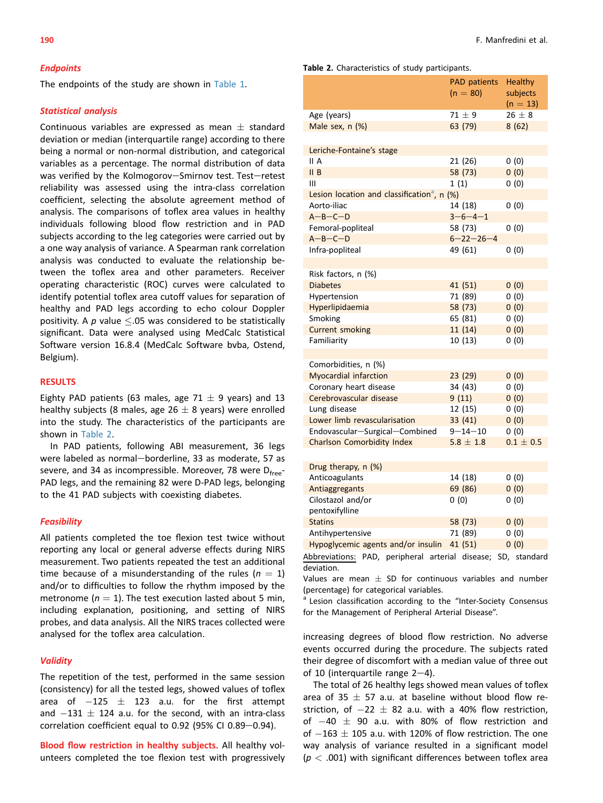#### **Endpoints**

The endpoints of the study are shown in [Table 1.](#page-1-0)

#### Statistical analysis

Continuous variables are expressed as mean  $\pm$  standard deviation or median (interquartile range) according to there being a normal or non-normal distribution, and categorical variables as a percentage. The normal distribution of data was verified by the Kolmogorov-Smirnov test. Test-retest reliability was assessed using the intra-class correlation coefficient, selecting the absolute agreement method of analysis. The comparisons of toflex area values in healthy individuals following blood flow restriction and in PAD subjects according to the leg categories were carried out by a one way analysis of variance. A Spearman rank correlation analysis was conducted to evaluate the relationship between the toflex area and other parameters. Receiver operating characteristic (ROC) curves were calculated to identify potential toflex area cutoff values for separation of healthy and PAD legs according to echo colour Doppler positivity. A  $p$  value  $\leq$ .05 was considered to be statistically significant. Data were analysed using MedCalc Statistical Software version 16.8.4 (MedCalc Software bvba, Ostend, Belgium).

# RESULTS

Eighty PAD patients (63 males, age 71  $\pm$  9 years) and 13 healthy subjects (8 males, age 26  $\pm$  8 years) were enrolled into the study. The characteristics of the participants are shown in Table 2.

In PAD patients, following ABI measurement, 36 legs were labeled as normal-borderline, 33 as moderate, 57 as severe, and 34 as incompressible. Moreover, 78 were D<sub>free</sub>-PAD legs, and the remaining 82 were D-PAD legs, belonging to the 41 PAD subjects with coexisting diabetes.

# **Feasibility**

All patients completed the toe flexion test twice without reporting any local or general adverse effects during NIRS measurement. Two patients repeated the test an additional time because of a misunderstanding of the rules ( $n = 1$ ) and/or to difficulties to follow the rhythm imposed by the metronome ( $n = 1$ ). The test execution lasted about 5 min, including explanation, positioning, and setting of NIRS probes, and data analysis. All the NIRS traces collected were analysed for the toflex area calculation.

#### **Validity**

The repetition of the test, performed in the same session (consistency) for all the tested legs, showed values of toflex area of  $-125 \pm 123$  a.u. for the first attempt and  $-131 \pm 124$  a.u. for the second, with an intra-class correlation coefficient equal to 0.92 (95% CI 0.89 $-0.94$ ).

Blood flow restriction in healthy subjects. All healthy volunteers completed the toe flexion test with progressively

#### Table 2. Characteristics of study participants.

|                                                         | PAD patients<br>$(n = 80)$ | <b>Healthy</b><br>subjects<br>$(n = 13)$ |
|---------------------------------------------------------|----------------------------|------------------------------------------|
| Age (years)                                             | $71 \pm 9$                 | $26 \pm 8$                               |
| Male sex, $n$ $(\%)$                                    | 63 (79)                    | 8(62)                                    |
| Leriche-Fontaine's stage                                |                            |                                          |
| II A                                                    | 21 (26)                    | 0(0)                                     |
| II B                                                    | 58 (73)                    | 0(0)                                     |
| Ш                                                       | 1(1)                       | 0(0)                                     |
| Lesion location and classification <sup>a</sup> , n (%) |                            |                                          |
| Aorto-iliac                                             | 14 (18)                    | 0(0)                                     |
| $A - B - C - D$                                         | $3 - 6 - 4 - 1$            |                                          |
| Femoral-popliteal                                       | 58 (73)                    | 0(0)                                     |
| $A - B - C - D$                                         | $6 - 22 - 26 - 4$          |                                          |
| Infra-popliteal                                         | 49 (61)                    | 0(0)                                     |
|                                                         |                            |                                          |
| Risk factors, n (%)                                     |                            |                                          |
| <b>Diabetes</b>                                         | 41 (51)                    | 0(0)                                     |
| Hypertension                                            | 71 (89)                    | 0(0)                                     |
| Hyperlipidaemia                                         | 58 (73)                    | 0(0)                                     |
| Smoking                                                 | 65 (81)                    | 0(0)                                     |
| <b>Current smoking</b>                                  | 11(14)                     | 0(0)                                     |
| Familiarity                                             | 10(13)                     | 0(0)                                     |
|                                                         |                            |                                          |
| Comorbidities, n (%)                                    |                            |                                          |
| <b>Myocardial infarction</b>                            | 23(29)                     | 0(0)                                     |
| Coronary heart disease                                  | 34 (43)                    | 0(0)                                     |
| Cerebrovascular disease                                 | 9(11)                      | 0(0)                                     |
| Lung disease                                            | 12 (15)                    | 0(0)                                     |
| Lower limb revascularisation                            | 33 (41)                    | 0(0)                                     |
| Endovascular-Surgical-Combined                          | $9 - 14 - 10$              | 0(0)                                     |
| <b>Charlson Comorbidity Index</b>                       | $5.8 \pm 1.8$              | $0.1 \pm 0.5$                            |
|                                                         |                            |                                          |
| Drug therapy, n (%)                                     |                            |                                          |
| Anticoagulants                                          | 14 (18)                    | 0(0)                                     |
| Antiaggregants                                          | 69 (86)                    | 0(0)                                     |
| Cilostazol and/or                                       | 0(0)                       | 0(0)                                     |
| pentoxifylline                                          |                            |                                          |
| <b>Statins</b>                                          | 58 (73)                    | 0(0)                                     |
| Antihypertensive                                        | 71 (89)                    | 0(0)                                     |
| Hypoglycemic agents and/or insulin                      | 41 (51)                    | 0(0)                                     |

Abbreviations: PAD, peripheral arterial disease; SD, standard deviation.

Values are mean  $\pm$  SD for continuous variables and number (percentage) for categorical variables.

<sup>a</sup> Lesion classification according to the "Inter-Society Consensus for the Management of Peripheral Arterial Disease".

increasing degrees of blood flow restriction. No adverse events occurred during the procedure. The subjects rated their degree of discomfort with a median value of three out of 10 (interquartile range  $2-4$ ).

The total of 26 healthy legs showed mean values of toflex area of 35  $\pm$  57 a.u. at baseline without blood flow restriction, of  $-22 \pm 82$  a.u. with a 40% flow restriction, of  $-40 \pm 90$  a.u. with 80% of flow restriction and of  $-163 \pm 105$  a.u. with 120% of flow restriction. The one way analysis of variance resulted in a significant model  $(p < .001)$  with significant differences between toflex area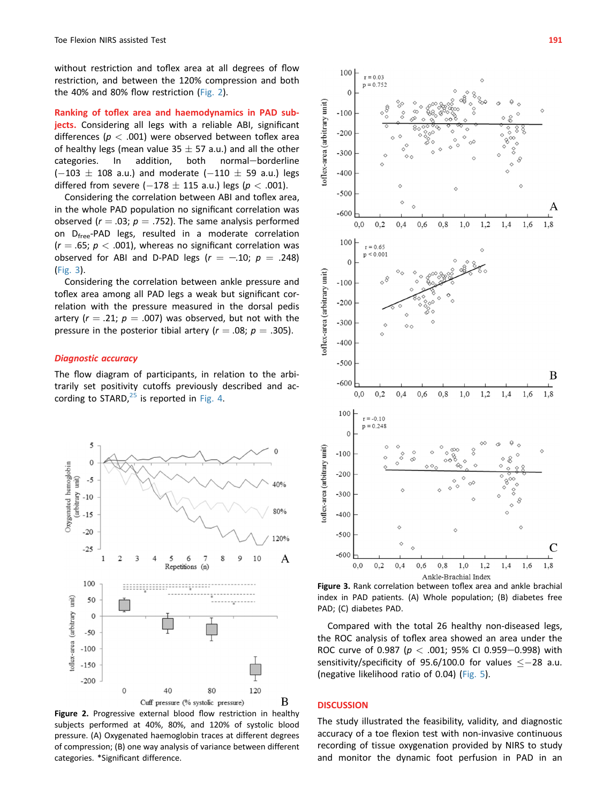without restriction and toflex area at all degrees of flow restriction, and between the 120% compression and both the 40% and 80% flow restriction (Fig. 2).

Ranking of toflex area and haemodynamics in PAD subjects. Considering all legs with a reliable ABI, significant differences ( $p < .001$ ) were observed between toflex area of healthy legs (mean value  $35 \pm 57$  a.u.) and all the other categories. In addition, both normal—borderline normal-borderline  $(-103 \pm 108$  a.u.) and moderate  $(-110 \pm 59$  a.u.) legs differed from severe ( $-178 \pm 115$  a.u.) legs ( $p < .001$ ).

Considering the correlation between ABI and toflex area, in the whole PAD population no significant correlation was observed ( $r = .03$ ;  $p = .752$ ). The same analysis performed on D<sub>free</sub>-PAD legs, resulted in a moderate correlation  $(r = .65; p < .001)$ , whereas no significant correlation was observed for ABI and D-PAD legs  $(r = -.10; p = .248)$ (Fig. 3).

Considering the correlation between ankle pressure and toflex area among all PAD legs a weak but significant correlation with the pressure measured in the dorsal pedis artery ( $r = .21$ ;  $p = .007$ ) was observed, but not with the pressure in the posterior tibial artery ( $r = .08$ ;  $p = .305$ ).

# Diagnostic accuracy

The flow diagram of participants, in relation to the arbitrarily set positivity cutoffs previously described and according to STARD, $^{25}$  $^{25}$  $^{25}$  is reported in [Fig. 4.](#page-5-0)



Figure 2. Progressive external blood flow restriction in healthy subjects performed at 40%, 80%, and 120% of systolic blood pressure. (A) Oxygenated haemoglobin traces at different degrees of compression; (B) one way analysis of variance between different categories. \*Significant difference.



Figure 3. Rank correlation between toflex area and ankle brachial index in PAD patients. (A) Whole population; (B) diabetes free PAD; (C) diabetes PAD.

Compared with the total 26 healthy non-diseased legs, the ROC analysis of toflex area showed an area under the ROC curve of 0.987 ( $p < .001$ ; 95% CI 0.959-0.998) with sensitivity/specificity of 95.6/100.0 for values  $<-28$  a.u. (negative likelihood ratio of 0.04) [\(Fig. 5](#page-5-0)).

#### **DISCUSSION**

The study illustrated the feasibility, validity, and diagnostic accuracy of a toe flexion test with non-invasive continuous recording of tissue oxygenation provided by NIRS to study and monitor the dynamic foot perfusion in PAD in an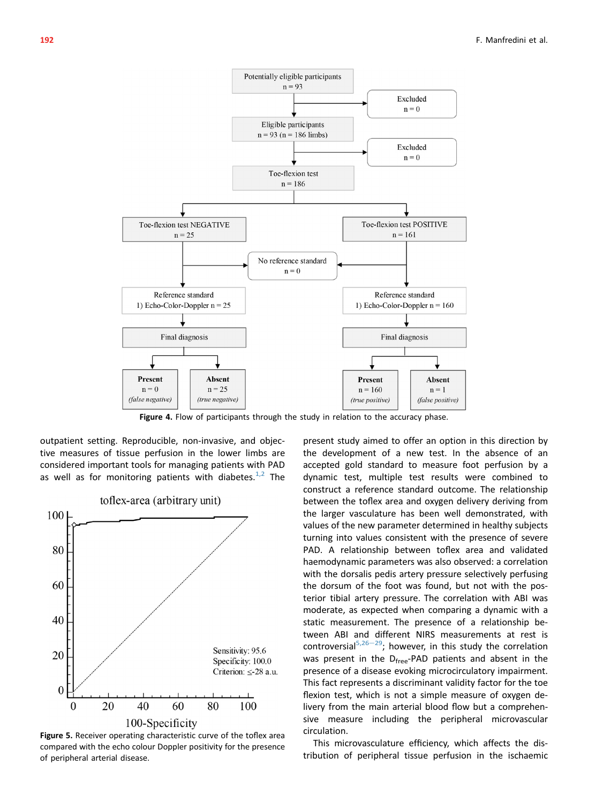<span id="page-5-0"></span>

Figure 4. Flow of participants through the study in relation to the accuracy phase.

outpatient setting. Reproducible, non-invasive, and objective measures of tissue perfusion in the lower limbs are considered important tools for managing patients with PAD as well as for monitoring patients with diabetes. $1/2$  The



Figure 5. Receiver operating characteristic curve of the toflex area compared with the echo colour Doppler positivity for the presence of peripheral arterial disease.

present study aimed to offer an option in this direction by the development of a new test. In the absence of an accepted gold standard to measure foot perfusion by a dynamic test, multiple test results were combined to construct a reference standard outcome. The relationship between the toflex area and oxygen delivery deriving from the larger vasculature has been well demonstrated, with values of the new parameter determined in healthy subjects turning into values consistent with the presence of severe PAD. A relationship between toflex area and validated haemodynamic parameters was also observed: a correlation with the dorsalis pedis artery pressure selectively perfusing the dorsum of the foot was found, but not with the posterior tibial artery pressure. The correlation with ABI was moderate, as expected when comparing a dynamic with a static measurement. The presence of a relationship between ABI and different NIRS measurements at rest is controversial<sup>[5,26](#page-7-0)-29</sup>; however, in this study the correlation was present in the D<sub>free</sub>-PAD patients and absent in the presence of a disease evoking microcirculatory impairment. This fact represents a discriminant validity factor for the toe flexion test, which is not a simple measure of oxygen delivery from the main arterial blood flow but a comprehensive measure including the peripheral microvascular circulation.

This microvasculature efficiency, which affects the distribution of peripheral tissue perfusion in the ischaemic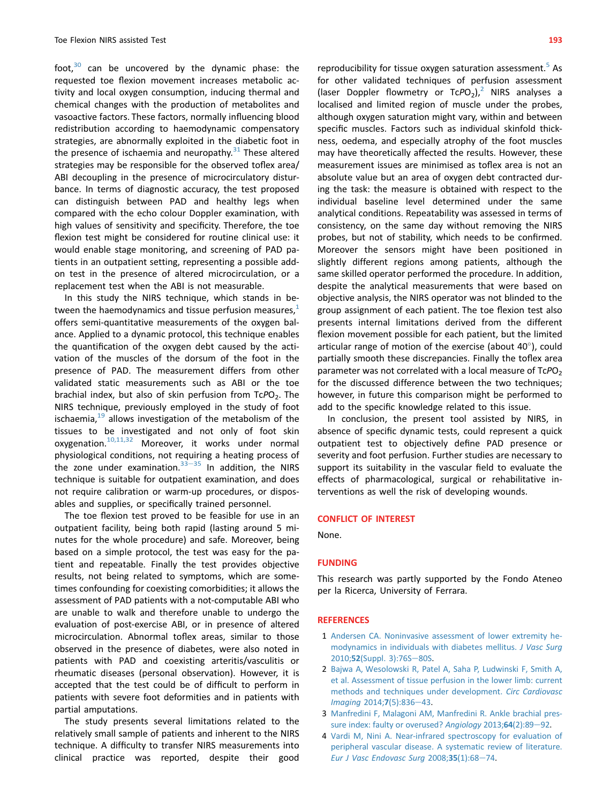<span id="page-6-0"></span>foot, $30$  can be uncovered by the dynamic phase: the requested toe flexion movement increases metabolic activity and local oxygen consumption, inducing thermal and chemical changes with the production of metabolites and vasoactive factors. These factors, normally influencing blood redistribution according to haemodynamic compensatory strategies, are abnormally exploited in the diabetic foot in the presence of ischaemia and neuropathy. $31$  These altered strategies may be responsible for the observed toflex area/ ABI decoupling in the presence of microcirculatory disturbance. In terms of diagnostic accuracy, the test proposed can distinguish between PAD and healthy legs when compared with the echo colour Doppler examination, with high values of sensitivity and specificity. Therefore, the toe flexion test might be considered for routine clinical use: it would enable stage monitoring, and screening of PAD patients in an outpatient setting, representing a possible addon test in the presence of altered microcirculation, or a replacement test when the ABI is not measurable.

In this study the NIRS technique, which stands in between the haemodynamics and tissue perfusion measures,<sup>1</sup> offers semi-quantitative measurements of the oxygen balance. Applied to a dynamic protocol, this technique enables the quantification of the oxygen debt caused by the activation of the muscles of the dorsum of the foot in the presence of PAD. The measurement differs from other validated static measurements such as ABI or the toe brachial index, but also of skin perfusion from  $TePO<sub>2</sub>$ . The NIRS technique, previously employed in the study of foot ischaemia, $19$  allows investigation of the metabolism of the tissues to be investigated and not only of foot skin oxygenation.[10,11,32](#page-7-0) Moreover, it works under normal physiological conditions, not requiring a heating process of the zone under examination. $33-35$  $33-35$  $33-35$  In addition, the NIRS technique is suitable for outpatient examination, and does not require calibration or warm-up procedures, or disposables and supplies, or specifically trained personnel.

The toe flexion test proved to be feasible for use in an outpatient facility, being both rapid (lasting around 5 minutes for the whole procedure) and safe. Moreover, being based on a simple protocol, the test was easy for the patient and repeatable. Finally the test provides objective results, not being related to symptoms, which are sometimes confounding for coexisting comorbidities; it allows the assessment of PAD patients with a not-computable ABI who are unable to walk and therefore unable to undergo the evaluation of post-exercise ABI, or in presence of altered microcirculation. Abnormal toflex areas, similar to those observed in the presence of diabetes, were also noted in patients with PAD and coexisting arteritis/vasculitis or rheumatic diseases (personal observation). However, it is accepted that the test could be of difficult to perform in patients with severe foot deformities and in patients with partial amputations.

The study presents several limitations related to the relatively small sample of patients and inherent to the NIRS technique. A difficulty to transfer NIRS measurements into clinical practice was reported, despite their good

reproducibility for tissue oxygen saturation assessment.<sup>[5](#page-7-0)</sup> As for other validated techniques of perfusion assessment (laser Doppler flowmetry or  $TcPO<sub>2</sub>$ ),<sup>2</sup> NIRS analyses a localised and limited region of muscle under the probes, although oxygen saturation might vary, within and between specific muscles. Factors such as individual skinfold thickness, oedema, and especially atrophy of the foot muscles may have theoretically affected the results. However, these measurement issues are minimised as toflex area is not an absolute value but an area of oxygen debt contracted during the task: the measure is obtained with respect to the individual baseline level determined under the same analytical conditions. Repeatability was assessed in terms of consistency, on the same day without removing the NIRS probes, but not of stability, which needs to be confirmed. Moreover the sensors might have been positioned in slightly different regions among patients, although the same skilled operator performed the procedure. In addition, despite the analytical measurements that were based on objective analysis, the NIRS operator was not blinded to the group assignment of each patient. The toe flexion test also presents internal limitations derived from the different flexion movement possible for each patient, but the limited articular range of motion of the exercise (about  $40^{\circ}$ ), could partially smooth these discrepancies. Finally the toflex area parameter was not correlated with a local measure of  $TePO<sub>2</sub>$ for the discussed difference between the two techniques; however, in future this comparison might be performed to add to the specific knowledge related to this issue.

In conclusion, the present tool assisted by NIRS, in absence of specific dynamic tests, could represent a quick outpatient test to objectively define PAD presence or severity and foot perfusion. Further studies are necessary to support its suitability in the vascular field to evaluate the effects of pharmacological, surgical or rehabilitative interventions as well the risk of developing wounds.

#### CONFLICT OF INTEREST

None.

#### FUNDING

This research was partly supported by the Fondo Ateneo per la Ricerca, University of Ferrara.

#### **REFERENCES**

- 1 [Andersen CA. Noninvasive assessment of lower extremity he](http://refhub.elsevier.com/S1078-5884(17)30271-X/sref1)[modynamics in individuals with diabetes mellitus.](http://refhub.elsevier.com/S1078-5884(17)30271-X/sref1) J Vasc Surg 2010;52[\(Suppl. 3\):76S](http://refhub.elsevier.com/S1078-5884(17)30271-X/sref1)-[80S.](http://refhub.elsevier.com/S1078-5884(17)30271-X/sref1)
- 2 [Bajwa A, Wesolowski R, Patel A, Saha P, Ludwinski F, Smith A,](http://refhub.elsevier.com/S1078-5884(17)30271-X/sref2) [et al. Assessment of tissue perfusion in the lower limb: current](http://refhub.elsevier.com/S1078-5884(17)30271-X/sref2) [methods and techniques under development.](http://refhub.elsevier.com/S1078-5884(17)30271-X/sref2) Circ Cardiovasc [Imaging](http://refhub.elsevier.com/S1078-5884(17)30271-X/sref2) 2014;7(5):836-[43.](http://refhub.elsevier.com/S1078-5884(17)30271-X/sref2)
- 3 [Manfredini F, Malagoni AM, Manfredini R. Ankle brachial pres](http://refhub.elsevier.com/S1078-5884(17)30271-X/sref3)[sure index: faulty or overused?](http://refhub.elsevier.com/S1078-5884(17)30271-X/sref3) Angiology 2013;64(2):89-[92](http://refhub.elsevier.com/S1078-5884(17)30271-X/sref3).
- 4 [Vardi M, Nini A. Near-infrared spectroscopy for evaluation of](http://refhub.elsevier.com/S1078-5884(17)30271-X/sref4) [peripheral vascular disease. A systematic review of literature.](http://refhub.elsevier.com/S1078-5884(17)30271-X/sref4) [Eur J Vasc Endovasc Surg](http://refhub.elsevier.com/S1078-5884(17)30271-X/sref4)  $2008;35(1):68-74$ .